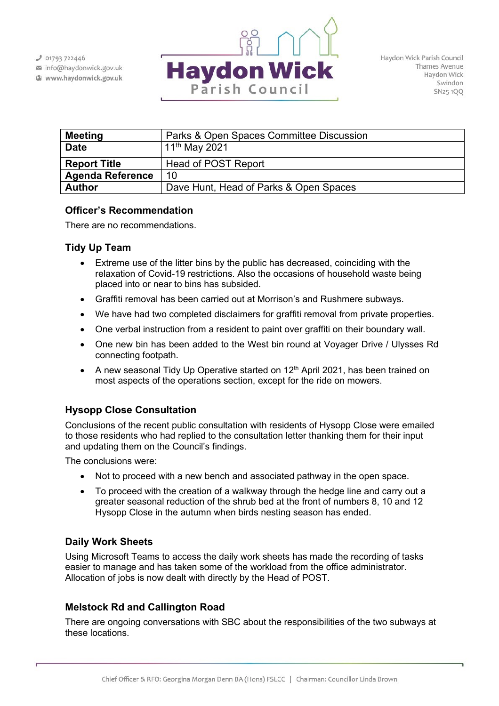$J$  01793 722446

info@haydonwick.gov.uk Www.haydonwick.gov.uk



| <b>Meeting</b>          | Parks & Open Spaces Committee Discussion |
|-------------------------|------------------------------------------|
| <b>Date</b>             | 11 <sup>th</sup> May 2021                |
| <b>Report Title</b>     | Head of POST Report                      |
| <b>Agenda Reference</b> | 10                                       |
| <b>Author</b>           | Dave Hunt, Head of Parks & Open Spaces   |

# **Officer's Recommendation**

There are no recommendations.

# **Tidy Up Team**

- Extreme use of the litter bins by the public has decreased, coinciding with the relaxation of Covid-19 restrictions. Also the occasions of household waste being placed into or near to bins has subsided.
- Graffiti removal has been carried out at Morrison's and Rushmere subways.
- We have had two completed disclaimers for graffiti removal from private properties.
- One verbal instruction from a resident to paint over graffiti on their boundary wall.
- One new bin has been added to the West bin round at Voyager Drive / Ulysses Rd connecting footpath.
- A new seasonal Tidy Up Operative started on 12<sup>th</sup> April 2021, has been trained on most aspects of the operations section, except for the ride on mowers.

# **Hysopp Close Consultation**

Conclusions of the recent public consultation with residents of Hysopp Close were emailed to those residents who had replied to the consultation letter thanking them for their input and updating them on the Council's findings.

The conclusions were:

- Not to proceed with a new bench and associated pathway in the open space.
- To proceed with the creation of a walkway through the hedge line and carry out a greater seasonal reduction of the shrub bed at the front of numbers 8, 10 and 12 Hysopp Close in the autumn when birds nesting season has ended.

# **Daily Work Sheets**

Using Microsoft Teams to access the daily work sheets has made the recording of tasks easier to manage and has taken some of the workload from the office administrator. Allocation of jobs is now dealt with directly by the Head of POST.

# **Melstock Rd and Callington Road**

There are ongoing conversations with SBC about the responsibilities of the two subways at these locations.